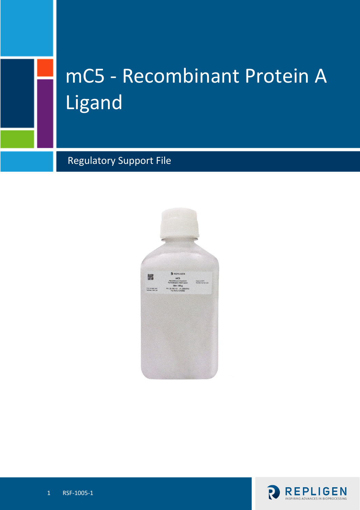# mC5 - Recombinant Protein A Ligand

Regulatory Support File



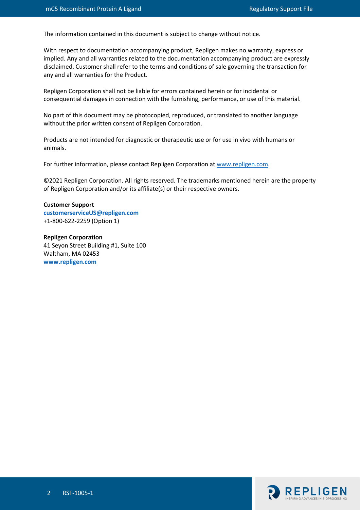The information contained in this document is subject to change without notice.

With respect to documentation accompanying product, Repligen makes no warranty, express or implied. Any and all warranties related to the documentation accompanying product are expressly disclaimed. Customer shall refer to the terms and conditions of sale governing the transaction for any and all warranties for the Product.

Repligen Corporation shall not be liable for errors contained herein or for incidental or consequential damages in connection with the furnishing, performance, or use of this material.

No part of this document may be photocopied, reproduced, or translated to another language without the prior written consent of Repligen Corporation.

Products are not intended for diagnostic or therapeutic use or for use in vivo with humans or animals.

For further information, please contact Repligen Corporation at [www.repligen.com.](http://www.repligen.com/)

©2021 Repligen Corporation. All rights reserved. The trademarks mentioned herein are the property of Repligen Corporation and/or its affiliate(s) or their respective owners.

**Customer Support [customerserviceUS@repligen.com](mailto:customerserviceUS@repligen.com)** +1-800-622-2259 (Option 1)

**Repligen Corporation** 41 Seyon Street Building #1, Suite 100 Waltham, MA 02453 **www.repligen.com**

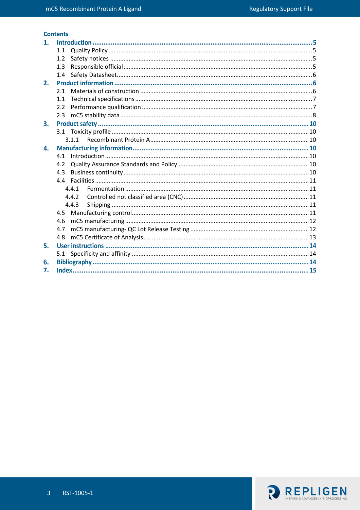# **Contents**

| 1. |     |       |
|----|-----|-------|
|    | 1.1 |       |
|    | 1.2 |       |
|    | 1.3 |       |
|    | 1.4 |       |
| 2. |     |       |
|    | 2.1 |       |
|    | 1.1 |       |
|    | 2.2 |       |
|    | 2.3 |       |
| 3. |     |       |
|    |     |       |
|    |     |       |
| 4. |     |       |
|    | 4.1 |       |
|    | 4.2 |       |
|    | 4.3 |       |
|    |     |       |
|    |     | 4.4.1 |
|    |     | 4.4.2 |
|    |     | 4.4.3 |
|    |     |       |
|    | 4.6 |       |
|    | 4.7 |       |
|    | 4.8 |       |
| 5. |     |       |
|    | 5.1 |       |
| 6. |     |       |
| 7. |     |       |

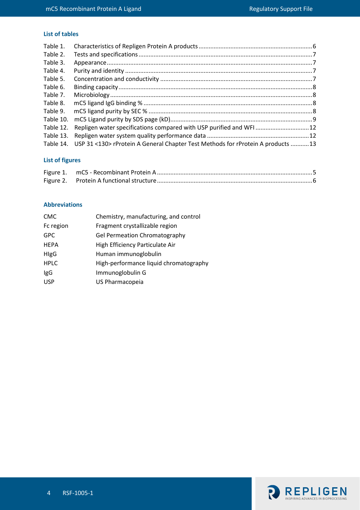### **List of tables**

| Table 1.  |                                                                                 |  |
|-----------|---------------------------------------------------------------------------------|--|
| Table 2.  |                                                                                 |  |
| Table 3.  |                                                                                 |  |
| Table 4.  |                                                                                 |  |
| Table 5.  |                                                                                 |  |
| Table 6.  |                                                                                 |  |
| Table 7.  |                                                                                 |  |
| Table 8.  |                                                                                 |  |
| Table 9.  |                                                                                 |  |
| Table 10. |                                                                                 |  |
| Table 12. | Repligen water specifications compared with USP purified and WFI 12             |  |
| Table 13. |                                                                                 |  |
| Table 14. | USP 31 <130> rProtein A General Chapter Test Methods for rProtein A products 13 |  |

# **List of figures**

### **Abbreviations**

| <b>CMC</b>  | Chemistry, manufacturing, and control  |
|-------------|----------------------------------------|
| Fc region   | Fragment crystallizable region         |
| <b>GPC</b>  | <b>Gel Permeation Chromatography</b>   |
| <b>HEPA</b> | High Efficiency Particulate Air        |
| HIgG        | Human immunoglobulin                   |
| <b>HPLC</b> | High-performance liquid chromatography |
| IgG         | Immunoglobulin G                       |
| <b>USP</b>  | US Pharmacopeia                        |

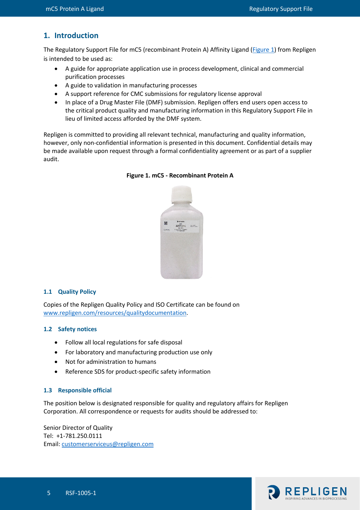# **1. Introduction**

The Regulatory Support File for mC5 (recombinant Protein A) Affinity Ligand [\(Figure 1\)](#page-4-3) from Repligen is intended to be used as:

- A guide for appropriate application use in process development, clinical and commercial purification processes
- A guide to validation in manufacturing processes
- A support reference for CMC submissions for regulatory license approval
- In place of a Drug Master File (DMF) submission. Repligen offers end users open access to the critical product quality and manufacturing information in this Regulatory Support File in lieu of limited access afforded by the DMF system.

<span id="page-4-3"></span>Repligen is committed to providing all relevant technical, manufacturing and quality information, however, only non-confidential information is presented in this document. Confidential details may be made available upon request through a formal confidentiality agreement or as part of a supplier audit.



#### **Figure 1. mC5 - Recombinant Protein A**

#### <span id="page-4-0"></span>**1.1 Quality Policy**

Copies of the Repligen Quality Policy and ISO Certificate can be found on [www.repligen.com/resources/qualitydocumentation.](http://www.repligen.com/resources/qualitydocumentation)

#### <span id="page-4-1"></span>**1.2 Safety notices**

- Follow all local regulations for safe disposal
- For laboratory and manufacturing production use only
- Not for administration to humans
- Reference SDS for product-specific safety information

#### <span id="page-4-2"></span>**1.3 Responsible official**

The position below is designated responsible for quality and regulatory affairs for Repligen Corporation. All correspondence or requests for audits should be addressed to:

Senior Director of Quality Tel: +1-781.250.0111 Email: [customerserviceus@repligen.com](mailto:customerserviceus@repligen.com)

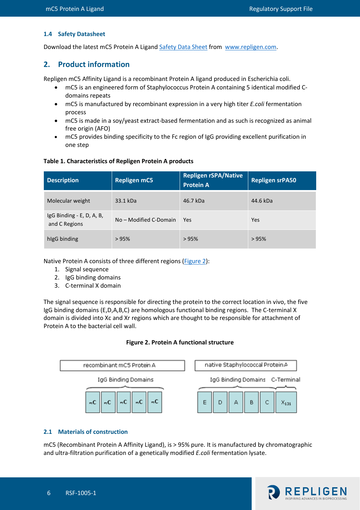#### <span id="page-5-0"></span>**1.4 Safety Datasheet**

Download the latest mC5 Protein A Ligand [Safety Data Sheet](https://www.repligen.com/resources/quality#collapse4-6) from [www.repligen.com.](https://www.repligen.com/)

# **2. Product information**

Repligen mC5 Affinity Ligand is a recombinant Protein A ligand produced in Escherichia coli.

- mC5 is an engineered form of Staphylococcus Protein A containing 5 identical modified Cdomains repeats
- mC5 is manufactured by recombinant expression in a very high titer *E.coli* fermentation process
- mC5 is made in a soy/yeast extract-based fermentation and as such is recognized as animal free origin (AFO)
- mC5 provides binding specificity to the Fc region of IgG providing excellent purification in one step

#### <span id="page-5-2"></span>**Table 1. Characteristics of Repligen Protein A products**

| <b>Description</b>                         | <b>Repligen mC5</b>    | <b>Repligen rSPA/Native</b><br><b>Protein A</b> | <b>Repligen srPA50</b> |
|--------------------------------------------|------------------------|-------------------------------------------------|------------------------|
| Molecular weight                           | 33.1 kDa               | 46.7 kDa                                        | 44.6 kDa               |
| IgG Binding - E, D, A, B,<br>and C Regions | No – Modified C-Domain | Yes                                             | Yes                    |
| higG binding                               | >95%                   | >95%                                            | >95%                   |

Native Protein A consists of three different regions [\(Figure 2\)](#page-5-3):

- 1. Signal sequence
- 2. IgG binding domains
- 3. C-terminal X domain

The signal sequence is responsible for directing the protein to the correct location in vivo, the five IgG binding domains (E,D,A,B,C) are homologous functional binding regions. The C-terminal X domain is divided into Xc and Xr regions which are thought to be responsible for attachment of Protein A to the bacterial cell wall.

#### **Figure 2. Protein A functional structure**

<span id="page-5-3"></span>

#### <span id="page-5-1"></span>**2.1 Materials of construction**

mC5 (Recombinant Protein A Affinity Ligand), is > 95% pure. It is manufactured by chromatographic and ultra-filtration purification of a genetically modified *E.coli* fermentation lysate.

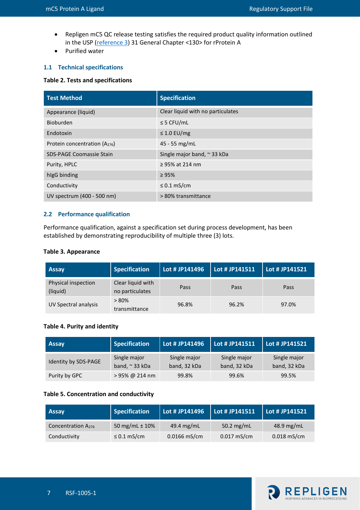- Repligen mC5 QC release testing satisfies the required product quality information outlined in the USP [\(reference](#page-11-4) 3) 31 General Chapter <130> for rProtein A
- Purified water

# <span id="page-6-0"></span>**1.1 Technical specifications**

#### <span id="page-6-2"></span>**Table 2. Tests and specifications**

| <b>Test Method</b>                | <b>Specification</b>                |
|-----------------------------------|-------------------------------------|
| Appearance (liquid)               | Clear liquid with no particulates   |
| Bioburden                         | $\leq$ 5 CFU/mL                     |
| Endotoxin                         | $\leq$ 1.0 EU/mg                    |
| Protein concentration $(A_{276})$ | $45 - 55$ mg/mL                     |
| <b>SDS-PAGE Coomassie Stain</b>   | Single major band, $\approx$ 33 kDa |
| Purity, HPLC                      | $\geq$ 95% at 214 nm                |
| higG binding                      | $\geq 95\%$                         |
| Conductivity                      | $\leq$ 0.1 mS/cm                    |
| UV spectrum (400 - 500 nm)        | > 80% transmittance                 |

#### <span id="page-6-1"></span>**2.2 Performance qualification**

Performance qualification, against a specification set during process development, has been established by demonstrating reproducibility of multiple three (3) lots.

#### <span id="page-6-3"></span>**Table 3. Appearance**

| <b>Assay</b>                    | <b>Specification</b>                 | Lot # JP141496 | Lot # JP141511 | Lot # JP141521 |
|---------------------------------|--------------------------------------|----------------|----------------|----------------|
| Physical inspection<br>(liquid) | Clear liquid with<br>no particulates | Pass           | Pass           | Pass           |
| UV Spectral analysis            | $> 80\%$<br>transmittance            | 96.8%          | 96.2%          | 97.0%          |

#### <span id="page-6-4"></span>**Table 4. Purity and identity**

| <b>Assay</b>         | <b>Specification</b>                | Lot # JP141496               | Lot # JP141511               | Lot # JP141521               |
|----------------------|-------------------------------------|------------------------------|------------------------------|------------------------------|
| Identity by SDS-PAGE | Single major<br>band, $\sim$ 33 kDa | Single major<br>band, 32 kDa | Single major<br>band, 32 kDa | Single major<br>band, 32 kDa |
| Purity by GPC        | > 95% @ 214 nm                      | 99.8%                        | 99.6%                        | 99.5%                        |

#### <span id="page-6-5"></span>**Table 5. Concentration and conductivity**

| <b>Assay</b>                   | <b>Specification</b> | Lot # JP141496 | Lot # JP141511 | Lot # JP141521 |
|--------------------------------|----------------------|----------------|----------------|----------------|
| Concentration A <sub>276</sub> | 50 mg/mL $\pm$ 10%   | 49.4 $mg/mL$   | 50.2 mg/mL     | 48.9 mg/mL     |
| Conductivity                   | $\leq$ 0.1 mS/cm     | $0.0166$ mS/cm | $0.017$ mS/cm  | $0.018$ mS/cm  |

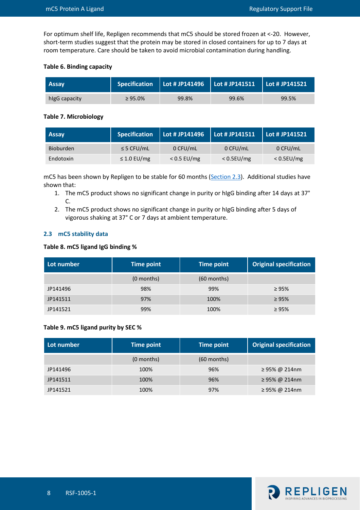For optimum shelf life, Repligen recommends that mC5 should be stored frozen at <-20. However, short-term studies suggest that the protein may be stored in closed containers for up to 7 days at room temperature. Care should be taken to avoid microbial contamination during handling.

#### <span id="page-7-1"></span>**Table 6. Binding capacity**

| <b>Assay</b>  |               |       | Specification   Lot # JP141496   Lot # JP141511   Lot # JP141521 |       |
|---------------|---------------|-------|------------------------------------------------------------------|-------|
| higG capacity | $\geq 95.0\%$ | 99.8% | 99.6%                                                            | 99.5% |

#### <span id="page-7-2"></span>**Table 7. Microbiology**

| <b>Assay</b> | <b>Specification</b> | Lot # JP $\overline{141496}$ | Lot # JP141511 | $\vert$ Lot # JP141521 |
|--------------|----------------------|------------------------------|----------------|------------------------|
| Bioburden    | $\leq$ 5 CFU/mL      | 0 CFU/mL                     | 0 CFU/mL       | 0 CFU/mL               |
| Endotoxin    | $\leq$ 1.0 EU/mg     | $< 0.5$ EU/mg                | $< 0.5$ EU/mg  | $< 0.5$ EU/mg          |

mC5 has been shown by Repligen to be stable for 60 months [\(Section 2.3\)](#page-7-0). Additional studies have shown that:

- 1. The mC5 product shows no significant change in purity or hIgG binding after 14 days at 37° C.
- 2. The mC5 product shows no significant change in purity or hIgG binding after 5 days of vigorous shaking at 37° C or 7 days at ambient temperature.

#### <span id="page-7-0"></span>**2.3 mC5 stability data**

#### <span id="page-7-3"></span>**Table 8. mC5 ligand IgG binding %**

| Lot number | Time point   | Time point    | <b>Original specification</b> |
|------------|--------------|---------------|-------------------------------|
|            | $(0$ months) | $(60$ months) |                               |
| JP141496   | 98%          | 99%           | $\geq 95\%$                   |
| JP141511   | 97%          | 100%          | $\geq 95\%$                   |
| JP141521   | 99%          | 100%          | $\geq 95\%$                   |

#### <span id="page-7-4"></span>**Table 9. mC5 ligand purity by SEC %**

| Lot number | Time point   | Time point    | <b>Original specification</b> |
|------------|--------------|---------------|-------------------------------|
|            | $(0$ months) | $(60$ months) |                               |
| JP141496   | 100%         | 96%           | ≥ 95% @ 214nm                 |
| JP141511   | 100%         | 96%           | ≥ 95% @ 214nm                 |
| JP141521   | 100%         | 97%           | ≥ 95% @ 214nm                 |

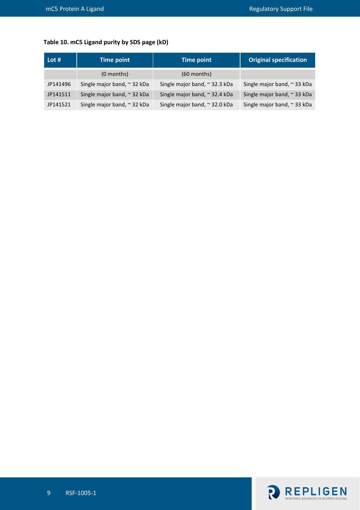# <span id="page-8-0"></span>**Table 10. mC5 Ligand purity by SDS page (kD)**

| Lot #    | <b>Time point</b>           | <b>Time point</b>             | <b>Original specification</b> |
|----------|-----------------------------|-------------------------------|-------------------------------|
|          | $(0$ months)                | $(60$ months)                 |                               |
| JP141496 | Single major band, ~ 32 kDa | Single major band, ~ 32.3 kDa | Single major band, ~ 33 kDa   |
| JP141511 | Single major band, ~ 32 kDa | Single major band, ~ 32.4 kDa | Single major band, ~ 33 kDa   |
| JP141521 | Single major band, ~ 32 kDa | Single major band, ~ 32.0 kDa | Single major band, ~ 33 kDa   |

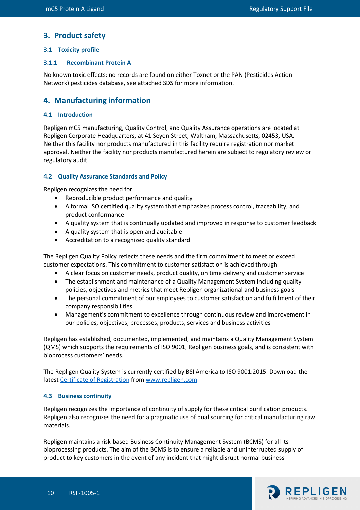# **3. Product safety**

#### <span id="page-9-0"></span>**3.1 Toxicity profile**

#### <span id="page-9-1"></span>**3.1.1 Recombinant Protein A**

No known toxic effects: no records are found on either Toxnet or the PAN (Pesticides Action Network) pesticides database, see attached SDS for more information.

# **4. Manufacturing information**

#### <span id="page-9-2"></span>**4.1 Introduction**

Repligen mC5 manufacturing, Quality Control, and Quality Assurance operations are located at Repligen Corporate Headquarters, at 41 Seyon Street, Waltham, Massachusetts, 02453, USA. Neither this facility nor products manufactured in this facility require registration nor market approval. Neither the facility nor products manufactured herein are subject to regulatory review or regulatory audit.

#### <span id="page-9-3"></span>**4.2 Quality Assurance Standards and Policy**

Repligen recognizes the need for:

- Reproducible product performance and quality
- A formal ISO certified quality system that emphasizes process control, traceability, and product conformance
- A quality system that is continually updated and improved in response to customer feedback
- A quality system that is open and auditable
- Accreditation to a recognized quality standard

The Repligen Quality Policy reflects these needs and the firm commitment to meet or exceed customer expectations. This commitment to customer satisfaction is achieved through:

- A clear focus on customer needs, product quality, on time delivery and customer service
- The establishment and maintenance of a Quality Management System including quality policies, objectives and metrics that meet Repligen organizational and business goals
- The personal commitment of our employees to customer satisfaction and fulfillment of their company responsibilities
- Management's commitment to excellence through continuous review and improvement in our policies, objectives, processes, products, services and business activities

Repligen has established, documented, implemented, and maintains a Quality Management System (QMS) which supports the requirements of ISO 9001, Repligen business goals, and is consistent with bioprocess customers' needs.

The Repligen Quality System is currently certified by BSI America to ISO 9001:2015. Download the latest Certificate [of Registration](https://www.repligen.com/resources/quality#collapse6-1) fro[m www.repligen.com.](https://www.repligen.com/)

#### <span id="page-9-4"></span>**4.3 Business continuity**

Repligen recognizes the importance of continuity of supply for these critical purification products. Repligen also recognizes the need for a pragmatic use of dual sourcing for critical manufacturing raw materials.

Repligen maintains a risk-based Business Continuity Management System (BCMS) for all its bioprocessing products. The aim of the BCMS is to ensure a reliable and uninterrupted supply of product to key customers in the event of any incident that might disrupt normal business

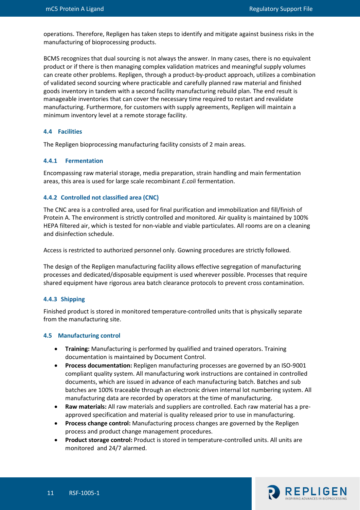operations. Therefore, Repligen has taken steps to identify and mitigate against business risks in the manufacturing of bioprocessing products.

BCMS recognizes that dual sourcing is not always the answer. In many cases, there is no equivalent product or if there is then managing complex validation matrices and meaningful supply volumes can create other problems. Repligen, through a product-by-product approach, utilizes a combination of validated second sourcing where practicable and carefully planned raw material and finished goods inventory in tandem with a second facility manufacturing rebuild plan. The end result is manageable inventories that can cover the necessary time required to restart and revalidate manufacturing. Furthermore, for customers with supply agreements, Repligen will maintain a minimum inventory level at a remote storage facility.

#### <span id="page-10-0"></span>**4.4 Facilities**

The Repligen bioprocessing manufacturing facility consists of 2 main areas.

#### <span id="page-10-1"></span>**4.4.1 Fermentation**

Encompassing raw material storage, media preparation, strain handling and main fermentation areas, this area is used for large scale recombinant *E.coli* fermentation.

#### <span id="page-10-2"></span>**4.4.2 Controlled not classified area (CNC)**

The CNC area is a controlled area, used for final purification and immobilization and fill/finish of Protein A. The environment is strictly controlled and monitored. Air quality is maintained by 100% HEPA filtered air, which is tested for non-viable and viable particulates. All rooms are on a cleaning and disinfection schedule.

Access is restricted to authorized personnel only. Gowning procedures are strictly followed.

The design of the Repligen manufacturing facility allows effective segregation of manufacturing processes and dedicated/disposable equipment is used wherever possible. Processes that require shared equipment have rigorous area batch clearance protocols to prevent cross contamination.

#### <span id="page-10-3"></span>**4.4.3 Shipping**

Finished product is stored in monitored temperature-controlled units that is physically separate from the manufacturing site.

#### <span id="page-10-4"></span>**4.5 Manufacturing control**

- **Training:** Manufacturing is performed by qualified and trained operators. Training documentation is maintained by Document Control.
- **Process documentation:** Repligen manufacturing processes are governed by an ISO-9001 compliant quality system. All manufacturing work instructions are contained in controlled documents, which are issued in advance of each manufacturing batch. Batches and sub batches are 100% traceable through an electronic driven internal lot numbering system. All manufacturing data are recorded by operators at the time of manufacturing.
- **Raw materials:** All raw materials and suppliers are controlled. Each raw material has a preapproved specification and material is quality released prior to use in manufacturing.
- **Process change control:** Manufacturing process changes are governed by the Repligen process and product change management procedures.
- **Product storage control:** Product is stored in temperature-controlled units. All units are monitored and 24/7 alarmed.

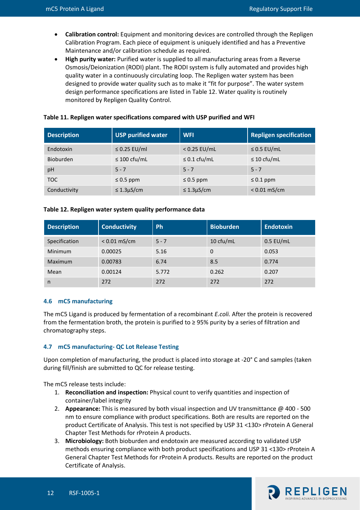- **Calibration control:** Equipment and monitoring devices are controlled through the Repligen Calibration Program. Each piece of equipment is uniquely identified and has a Preventive Maintenance and/or calibration schedule as required.
- **High purity water:** Purified water is supplied to all manufacturing areas from a Reverse Osmosis/Deionization (RODI) plant. The RODI system is fully automated and provides high quality water in a continuously circulating loop. The Repligen water system has been designed to provide water quality such as to make it "fit for purpose". The water system design performance specifications are listed in Table 12. Water quality is routinely monitored by Repligen Quality Control.

| <b>Description</b> | USP purified water | <b>WFI</b>        | <b>Repligen specification</b> |
|--------------------|--------------------|-------------------|-------------------------------|
| Endotoxin          | $\leq$ 0.25 EU/ml  | $< 0.25$ EU/mL    | $\leq$ 0.5 EU/mL              |
| Bioburden          | $\leq 100$ cfu/mL  | $\leq 0.1$ cfu/mL | $\leq 10$ cfu/mL              |
| pH                 | $5 - 7$            | $5 - 7$           | $5 - 7$                       |
| <b>TOC</b>         | $\leq 0.5$ ppm     | $\leq$ 0.5 ppm    | $\leq 0.1$ ppm                |
| Conductivity       | $\leq$ 1.3µS/cm    | $\leq$ 1.3µS/cm   | $< 0.01$ mS/cm                |

#### <span id="page-11-2"></span>**Table 11. Repligen water specifications compared with USP purified and WFI**

#### <span id="page-11-3"></span>**Table 12. Repligen water system quality performance data**

| <b>Description</b> | <b>Conductivity</b> | <b>Ph</b> | <b>Bioburden</b> | <b>Endotoxin</b> |
|--------------------|---------------------|-----------|------------------|------------------|
| Specification      | $< 0.01$ mS/cm      | $5 - 7$   | 10 cfu/mL        | $0.5$ EU/mL      |
| Minimum            | 0.00025             | 5.16      | 0                | 0.053            |
| Maximum            | 0.00783             | 6.74      | 8.5              | 0.774            |
| Mean               | 0.00124             | 5.772     | 0.262            | 0.207            |
| n                  | 272                 | 272       | 272              | 272              |

#### <span id="page-11-0"></span>**4.6 mC5 manufacturing**

The mC5 Ligand is produced by fermentation of a recombinant *E.coli.* After the protein is recovered from the fermentation broth, the protein is purified to  $\geq$  95% purity by a series of filtration and chromatography steps.

#### <span id="page-11-1"></span>**4.7 mC5 manufacturing- QC Lot Release Testing**

Upon completion of manufacturing, the product is placed into storage at -20° C and samples (taken during fill/finish are submitted to QC for release testing.

The mC5 release tests include:

- 1. **Reconciliation and inspection:** Physical count to verify quantities and inspection of container/label integrity
- 2. **Appearance:** This is measured by both visual inspection and UV transmittance @ 400 500 nm to ensure compliance with product specifications. Both are results are reported on the product Certificate of Analysis. This test is not specified by USP 31 <130> rProtein A General Chapter Test Methods for rProtein A products.
- <span id="page-11-4"></span>3. **Microbiology:** Both bioburden and endotoxin are measured according to validated USP methods ensuring compliance with both product specifications and USP 31 <130> rProtein A General Chapter Test Methods for rProtein A products. Results are reported on the product Certificate of Analysis.

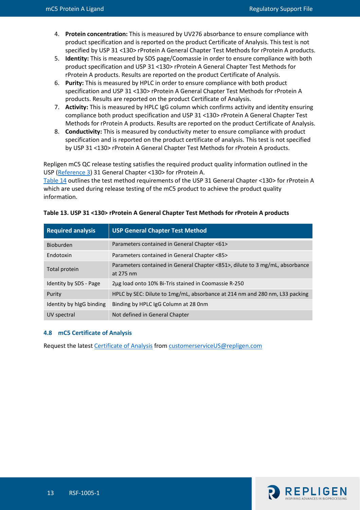- 4. **Protein concentration:** This is measured by UV276 absorbance to ensure compliance with product specification and is reported on the product Certificate of Analysis. This test is not specified by USP 31 <130> rProtein A General Chapter Test Methods for rProtein A products.
- 5. **Identity:** This is measured by SDS page/Coomassie in order to ensure compliance with both product specification and USP 31 <130> rProtein A General Chapter Test Methods for rProtein A products. Results are reported on the product Certificate of Analysis.
- 6. **Purity:** This is measured by HPLC in order to ensure compliance with both product specification and USP 31 <130> rProtein A General Chapter Test Methods for rProtein A products. Results are reported on the product Certificate of Analysis.
- 7. **Activity:** This is measured by HPLC IgG column which confirms activity and identity ensuring compliance both product specification and USP 31 <130> rProtein A General Chapter Test Methods for rProtein A products. Results are reported on the product Certificate of Analysis.
- 8. **Conductivity:** This is measured by conductivity meter to ensure compliance with product specification and is reported on the product certificate of analysis. This test is not specified by USP 31 <130> rProtein A General Chapter Test Methods for rProtein A products.

Repligen mC5 QC release testing satisfies the required product quality information outlined in the USP [\(Reference](#page-11-4) 3) 31 General Chapter <130> for rProtein A.

[Table 14](#page-12-2) outlines the test method requirements of the USP 31 General Chapter <130> for rProtein A which are used during release testing of the mC5 product to achieve the product quality information.

| <b>Required analysis</b> | <b>USP General Chapter Test Method</b>                                                    |
|--------------------------|-------------------------------------------------------------------------------------------|
| Bioburden                | Parameters contained in General Chapter <61>                                              |
| Endotoxin                | Parameters contained in General Chapter <85>                                              |
| Total protein            | Parameters contained in General Chapter <851>, dilute to 3 mg/mL, absorbance<br>at 275 nm |
| Identity by SDS - Page   | 2µg load onto 10% Bi-Tris stained in Coomassie R-250                                      |
| Purity                   | HPLC by SEC: Dilute to 1mg/mL, absorbance at 214 nm and 280 nm, L33 packing               |
| Identity by higG binding | Binding by HPLC IgG Column at 28 0nm                                                      |
| UV spectral              | Not defined in General Chapter                                                            |

<span id="page-12-2"></span><span id="page-12-1"></span>

|  |  |  |  | Table 13. USP 31 <130> rProtein A General Chapter Test Methods for rProtein A products |
|--|--|--|--|----------------------------------------------------------------------------------------|
|--|--|--|--|----------------------------------------------------------------------------------------|

#### <span id="page-12-0"></span>**4.8 mC5 Certificate of Analysis**

Request the latest [Certificate of Analysis](https://www.repligen.com/resources/quality#collapse5-5) from [customerserviceUS@repligen.com](mailto:customerserviceUS@repligen.com)

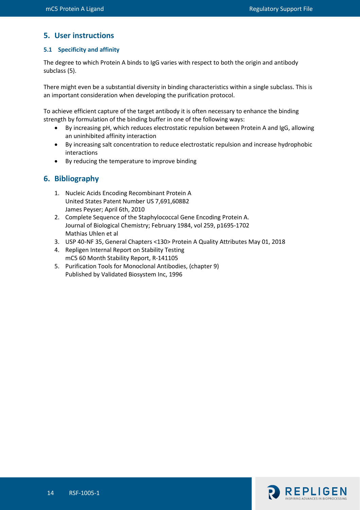# **5. User instructions**

### <span id="page-13-0"></span>**5.1 Specificity and affinity**

The degree to which Protein A binds to IgG varies with respect to both the origin and antibody subclass (5).

There might even be a substantial diversity in binding characteristics within a single subclass. This is an important consideration when developing the purification protocol.

To achieve efficient capture of the target antibody it is often necessary to enhance the binding strength by formulation of the binding buffer in one of the following ways:

- By increasing pH, which reduces electrostatic repulsion between Protein A and IgG, allowing an uninhibited affinity interaction
- By increasing salt concentration to reduce electrostatic repulsion and increase hydrophobic interactions
- By reducing the temperature to improve binding

# **6. Bibliography**

- 1. Nucleic Acids Encoding Recombinant Protein A United States Patent Number US 7,691,608B2 James Peyser; April 6th, 2010
- 2. Complete Sequence of the Staphylococcal Gene Encoding Protein A. Journal of Biological Chemistry; February 1984, vol 259, p1695-1702 Mathias Uhlen et al
- 3. USP 40-NF 35, General Chapters <130> Protein A Quality Attributes May 01, 2018
- 4. Repligen Internal Report on Stability Testing mC5 60 Month Stability Report, R-141105
- 5. Purification Tools for Monoclonal Antibodies, (chapter 9) Published by Validated Biosystem Inc, 1996